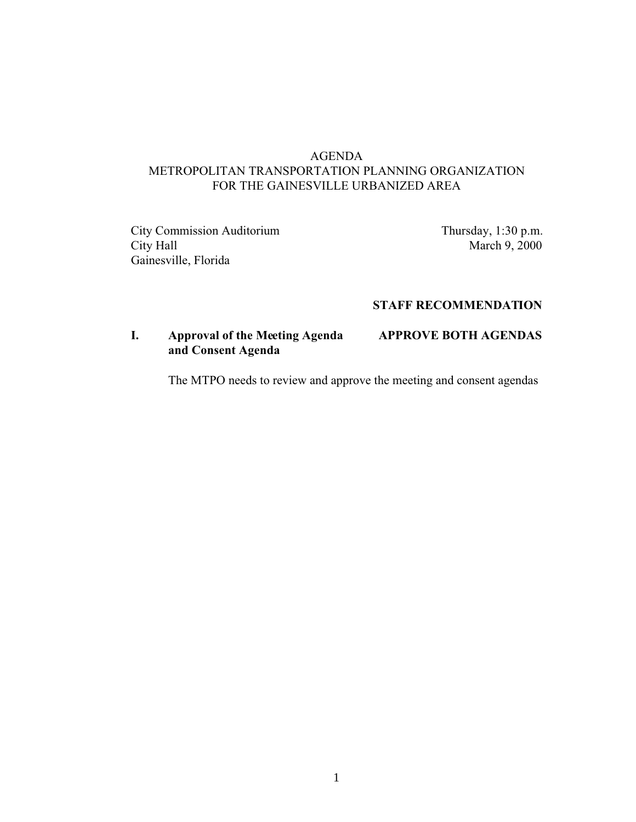## AGENDA METROPOLITAN TRANSPORTATION PLANNING ORGANIZATION FOR THE GAINESVILLE URBANIZED AREA

City Commission Auditorium Thursday, 1:30 p.m. City Hall March 9, 2000 Gainesville, Florida

### **STAFF RECOMMENDATION**

## **I. Approval of the Meeting Agenda APPROVE BOTH AGENDAS and Consent Agenda**

The MTPO needs to review and approve the meeting and consent agendas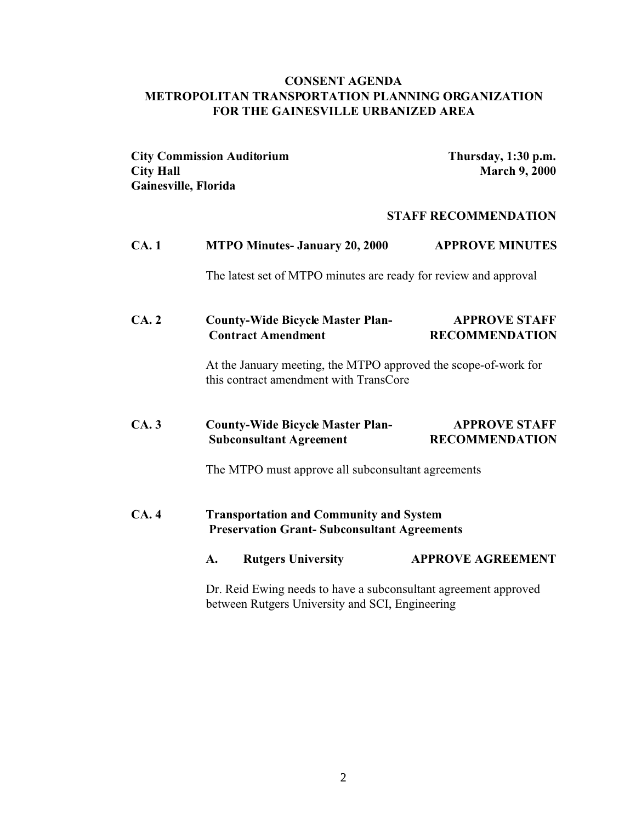### **CONSENT AGENDA METROPOLITAN TRANSPORTATION PLANNING ORGANIZATION FOR THE GAINESVILLE URBANIZED AREA**

**City Commission Auditorium Thursday, 1:30 p.m. City Hall March 9, 2000 Gainesville, Florida** 

#### **STAFF RECOMMENDATION**

| CA.1 | <b>MTPO Minutes- January 20, 2000</b>                                                                              | <b>APPROVE MINUTES</b>                        |
|------|--------------------------------------------------------------------------------------------------------------------|-----------------------------------------------|
|      | The latest set of MTPO minutes are ready for review and approval                                                   |                                               |
| CA.2 | <b>County-Wide Bicycle Master Plan-</b><br><b>Contract Amendment</b>                                               | <b>APPROVE STAFF</b><br><b>RECOMMENDATION</b> |
|      | At the January meeting, the MTPO approved the scope-of-work for<br>this contract amendment with TransCore          |                                               |
| CA.3 | <b>County-Wide Bicycle Master Plan-</b><br><b>Subconsultant Agreement</b>                                          | <b>APPROVE STAFF</b><br><b>RECOMMENDATION</b> |
|      | The MTPO must approve all subconsultant agreements                                                                 |                                               |
| CA.4 | <b>Transportation and Community and System</b><br><b>Preservation Grant- Subconsultant Agreements</b>              |                                               |
|      | <b>Rutgers University</b><br>A.                                                                                    | <b>APPROVE AGREEMENT</b>                      |
|      | Dr. Reid Ewing needs to have a subconsultant agreement approved<br>between Rutgers University and SCI, Engineering |                                               |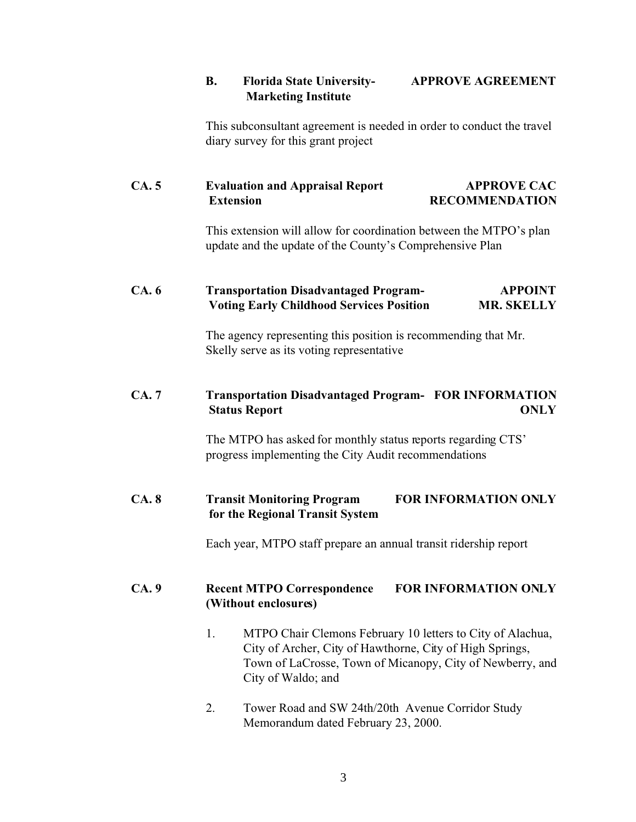## **B. Florida State University- APPROVE AGREEMENT Marketing Institute**

This subconsultant agreement is needed in order to conduct the travel diary survey for this grant project

# **CA. 5 Evaluation and Appraisal Report APPROVE CAC Extension RECOMMENDATION**

This extension will allow for coordination between the MTPO's plan update and the update of the County's Comprehensive Plan

## **CA. 6 Transportation Disadvantaged Program- APPOINT Voting Early Childhood Services Position MR. SKELLY**

The agency representing this position is recommending that Mr. Skelly serve as its voting representative

## **CA. 7 Transportation Disadvantaged Program- FOR INFORMATION Status Report ONLY**

The MTPO has asked for monthly status reports regarding CTS' progress implementing the City Audit recommendations

# **CA. 8 Transit Monitoring Program FOR INFORMATION ONLY for the Regional Transit System**

Each year, MTPO staff prepare an annual transit ridership report

## **CA. 9 Recent MTPO Correspondence FOR INFORMATION ONLY (Without enclosures)**

- 1. MTPO Chair Clemons February 10 letters to City of Alachua, City of Archer, City of Hawthorne, City of High Springs, Town of LaCrosse, Town of Micanopy, City of Newberry, and City of Waldo; and
- 2. Tower Road and SW 24th/20th Avenue Corridor Study Memorandum dated February 23, 2000.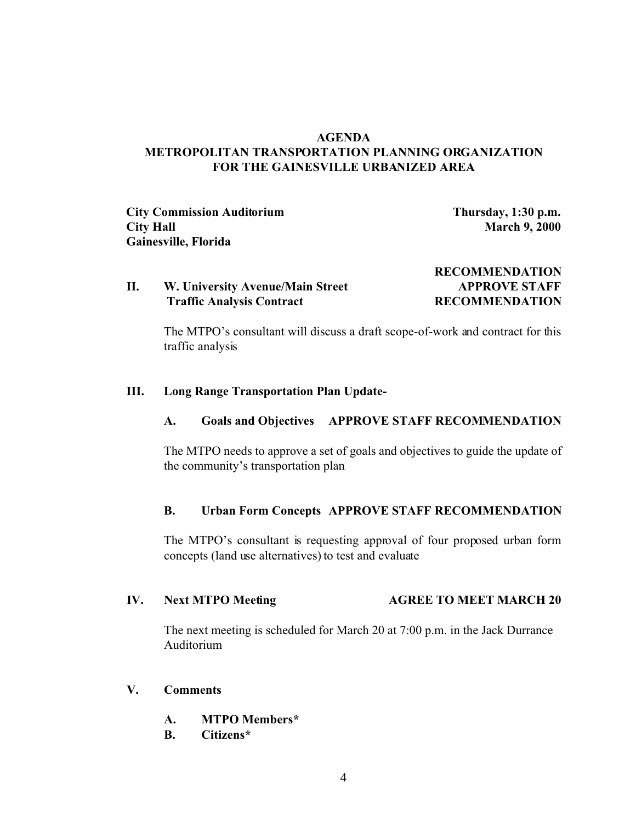### **AGENDA METROPOLITAN TRANSPORTATION PLANNING ORGANIZATION FOR THE GAINESVILLE URBANIZED AREA**

**City Commission Auditorium Thursday, 1:30 p.m. City Hall March 9, 2000 Gainesville, Florida** 

**RECOMMENDATION**

### **II. W. University Avenue/Main Street APPROVE STAFF Traffic Analysis Contract RECOMMENDATION**

The MTPO's consultant will discuss a draft scope-of-work and contract for this traffic analysis

#### **III. Long Range Transportation Plan Update-**

#### **A. Goals and Objectives APPROVE STAFF RECOMMENDATION**

The MTPO needs to approve a set of goals and objectives to guide the update of the community's transportation plan

#### **B. Urban Form Concepts APPROVE STAFF RECOMMENDATION**

The MTPO's consultant is requesting approval of four proposed urban form concepts (land use alternatives) to test and evaluate

#### **IV. Next MTPO Meeting <b>AGREE TO MEET MARCH 20**

The next meeting is scheduled for March 20 at 7:00 p.m. in the Jack Durrance Auditorium

#### **V. Comments**

- **A. MTPO Members\***
- **B. Citizens\***